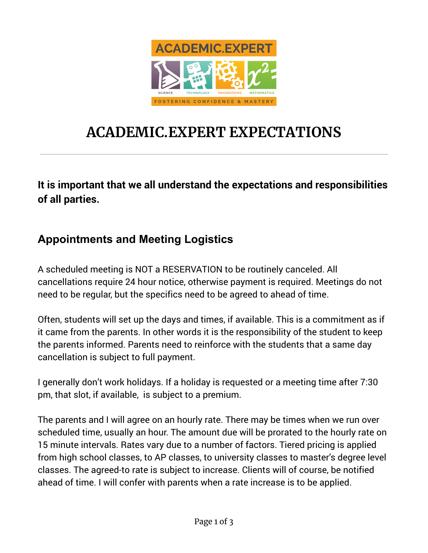

## **ACADEMIC.EXPERT EXPECTATIONS**

**It is important that we all understand the expectations and responsibilities of all parties.**

## **Appointments and Meeting Logistics**

A scheduled meeting is NOT a RESERVATION to be routinely canceled. All cancellations require 24 hour notice, otherwise payment is required. Meetings do not need to be regular, but the specifics need to be agreed to ahead of time.

Often, students will set up the days and times, if available. This is a commitment as if it came from the parents. In other words it is the responsibility of the student to keep the parents informed. Parents need to reinforce with the students that a same day cancellation is subject to full payment.

I generally don't work holidays. If a holiday is requested or a meeting time after 7:30 pm, that slot, if available, is subject to a premium.

The parents and I will agree on an hourly rate. There may be times when we run over scheduled time, usually an hour. The amount due will be prorated to the hourly rate on 15 minute intervals. Rates vary due to a number of factors. Tiered pricing is applied from high school classes, to AP classes, to university classes to master's degree level classes. The agreed-to rate is subject to increase. Clients will of course, be notified ahead of time. I will confer with parents when a rate increase is to be applied.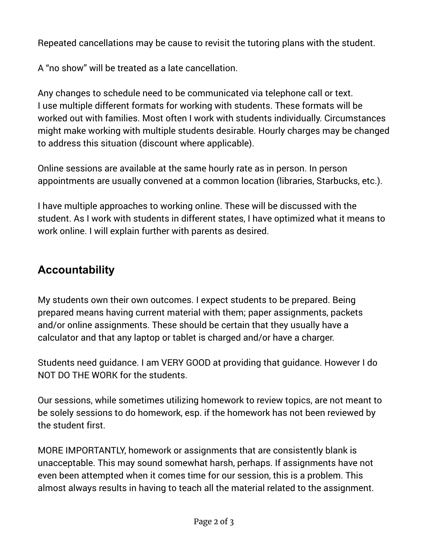Repeated cancellations may be cause to revisit the tutoring plans with the student.

A "no show" will be treated as a late cancellation.

Any changes to schedule need to be communicated via telephone call or text. I use multiple different formats for working with students. These formats will be worked out with families. Most often I work with students individually. Circumstances might make working with multiple students desirable. Hourly charges may be changed to address this situation (discount where applicable).

Online sessions are available at the same hourly rate as in person. In person appointments are usually convened at a common location (libraries, Starbucks, etc.).

I have multiple approaches to working online. These will be discussed with the student. As I work with students in different states, I have optimized what it means to work online. I will explain further with parents as desired.

## **Accountability**

My students own their own outcomes. I expect students to be prepared. Being prepared means having current material with them; paper assignments, packets and/or online assignments. These should be certain that they usually have a calculator and that any laptop or tablet is charged and/or have a charger.

Students need guidance. I am VERY GOOD at providing that guidance. However I do NOT DO THE WORK for the students.

Our sessions, while sometimes utilizing homework to review topics, are not meant to be solely sessions to do homework, esp. if the homework has not been reviewed by the student first.

MORE IMPORTANTLY, homework or assignments that are consistently blank is unacceptable. This may sound somewhat harsh, perhaps. If assignments have not even been attempted when it comes time for our session, this is a problem. This almost always results in having to teach all the material related to the assignment.